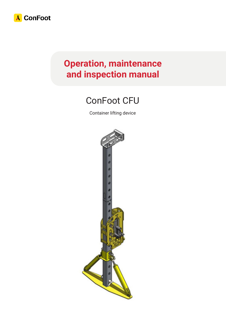

# **Operation, maintenance and inspection manual**

# ConFoot CFU

Container lifting device

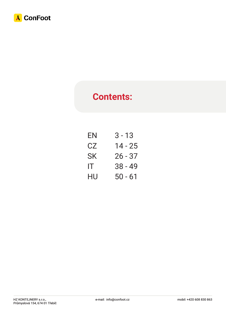

# **Contents:**

| EN  | 3 - 13    |
|-----|-----------|
| CZ  | 14 - 25   |
| SK  | 26 - 37   |
| IT. | $38 - 49$ |
| HU  | $50 - 61$ |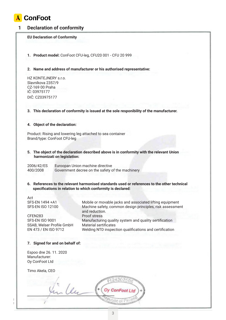

#### **1 Declaration of conformity**

#### **EU Declaration of Conformity**

**1. Product model:** ConFoot CFU-leg, CFU20 001 - CFU 20 999

**2. Name and address of manufacturer or his authorised representative:**

HZ KONTEJNERY s.r.o. Slavníkova 2357/9 CZ-169 00 Praha IČ: 03975177 DIČ: CZ03975177

#### **3. This declaration of conformity is issued at the sole responibility of the manufacturer.**

#### **4. Object of the declaration:**

Product: Rising and lowering leg attached to sea container Brand/type: ConFoot CFU-leg

**5. The object of the declaration described above is in conformity with the relevant Union harmonizati on legislation:**

2006/42/ES Euroopan Union machine directive<br>400/2008 Government decree on the safety c Government decree on the safety of the machinery

**6. References to the relevant harmonised standards used or references to the other technical specifications in relation to which conformity is declared:**

Act

CFEN283 Proof stress SSAB, Welser Profile GmbH Material sertificates

SFS-EN 1494 +A1 Mobile or movable jacks and associated lifting equipment SFS-EN ISO 12100 Machine safety, common design principles, risk assessment and reduction. SFS-EN ISO 9001 Manufacturing quality system and quality sertification EN 473 / EN ISO 9712 Welding NTD inspection qualifications and certification

#### **7. Signed for and on behalf of:**

Espoo dne 26. 11. 2020 Manufacturer: Oy ConFoot Ltd

Timo Akela, CEO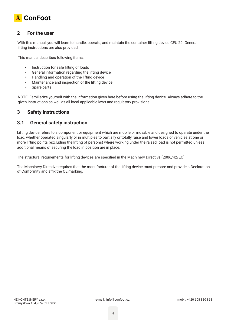

#### **2 For the user**

With this manual, you will learn to handle, operate, and maintain the container lifting device CFU 20. General lifting instructions are also provided.

This manual describes following items:

- Instruction for safe lifting of loads
- General information regarding the lifting device
- Handling and operation of the lifting device
- Maintenance and inspection of the lifting device
- Spare parts

NOTE! Familiarize yourself with the information given here before using the lifting device. Always adhere to the given instructions as well as all local applicable laws and regulatory provisions.

#### **3 Safety instructions**

#### **3.1 General safety instruction**

Lifting device refers to a component or equipment which are mobile or movable and designed to operate under the load, whether operated singularly or in multiples to partially or totally raise and lower loads or vehicles at one or more lifting points (excluding the lifting of persons) where working under the raised load is not permitted unless additional means of securing the load in position are in place.

The structural requirements for lifting devices are specified in the Machinery Directive (2006/42/EC).

The Machinery Directive requires that the manufacturer of the lifting device must prepare and provide a Declaration of Conformity and affix the CE marking.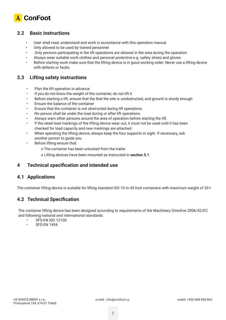

#### **3.2 Basic instructions**

- User shall read, understand and work in accordance with this operation manual
- Only allowed to be used by trained personnel
- Only persons participating in the lift operations are allowed in the area during the operation
- Always wear suitable work clothes and personal protective e.g. safety shoes and gloves
- Before starting work make sure that the lifting device is in good working order. Never use a lifting device with defects or faults.

#### **3.3 Lifting safety instructions**

- Plan the lift operation in advance
- If you do not know the weight of the container, do not lift it
- Before starting a lift, ensure that the that the site is unobstructed, and ground is sturdy enough
- Ensure the balance of the container
- Ensure that the container is not obstructed during lift operations
- No person shall be under the load during or after lift operations
- Always warn other persons around the area of operation before starting the lift.
- If the rated load markings of the lifting device wear out, it must not be used until it has been checked for load capacity and new markings are attached
- When operating the lifting device, always keep the four supports in sight. If necessary, ask another person to guide you
- Before lifting ensure that:
	- o The container has been unlocked from the trailer
	- o Lifting devices have been mounted as instructed in **section 5.1**

#### **4 Technical specification and intended use**

#### **4.1 Applications**

The container lifting device is suitable for lifting standard ISO 10 to 45 foot containers with maximum weight of 20 t

### **4.2 Technical Specification**

The container lifting device has been designed according to requirements of the Machinery Directive 2006/42/EC and following national and international standards:

- **SFS-EN ISO 12100**
- SFS-EN 1494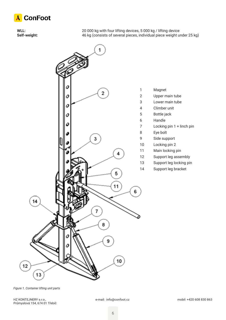

**WLL:** 20 000 kg with four lifting devices, 5 000 kg / lifting device **Self-weight:** 46 kg (consists of several pieces, individual piece weight under 25 kg)



*Figure 1. Container lifting unit parts*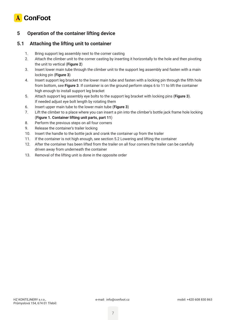

# **5 Operation of the container lifting device**

### **5.1 Attaching the lifting unit to container**

- 1. Bring support leg assembly next to the corner casting
- 2. Attach the climber unit to the corner casting by inserting it horizontally to the hole and then pivoting the unit to vertical (**Figure 2**)
- 3. Insert lower main tube through the climber unit to the support leg assembly and fasten with a main locking pin (**Figure 3**)
- 4. Insert support leg bracket to the lower main tube and fasten with a locking pin through the fifth hole from bottom, see **Figure 3**. If container is on the ground perform steps 6 to 11 to lift the container high enough to install support leg bracket
- 5. Attach support leg assembly eye bolts to the support leg bracket with locking pins (**Figure 3**). If needed adjust eye bolt length by rotating them
- 6. Insert upper main tube to the lower main tube (**Figure 3**)
- 7. Lift the climber to a place where you can insert a pin into the climber's bottle jack frame hole locking (**Figure 1. Container lifting unit parts, part 11**)
- 8. Perform the previous steps on all four corners
- 9. Release the container's trailer locking
- 10. Insert the handle to the bottle jack and crank the container up from the trailer
- 11. If the container is not high enough, see section 5.2 Lowering and lifting the container
- 12. After the container has been lifted from the trailer on all four corners the trailer can be carefully driven away from underneath the container
- 13. Removal of the lifting unit is done in the opposite order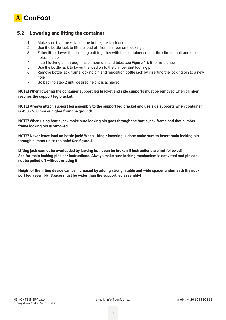

#### **5.2 Lowering and lifting the container**

- 1. Make sure that the valve on the bottle jack is closed
- 2. Use the bottle jack to lift the load off from climber unit locking pin
- 3. Either lift or lower the climbing unit together with the container so that the climber unit and tube holes line up
- 4. Insert locking pin through the climber unit and tube, see **Figure 4 & 5** for reference
- 5. Use the bottle jack to lower the load on to the climber unit locking pin
- 6. Remove bottle jack frame locking pin and reposition bottle jack by inserting the locking pin to a new hole
- 7. Go back to step 2 until desired height is achieved

**NOTE! When lowering the container support leg bracket and side supports must be removed when climber reaches the support leg bracket.**

**NOTE! Always attach support leg assembly to the support leg bracket and use side supports when container is 430 - 550 mm or higher from the ground!**

**NOTE! When using bottle jack make sure locking pin goes through the bottle jack frame and that climber frame locking pin is removed!**

**NOTE! Never leave load on bottle jack! When lifting / lowering is done make sure to insert main locking pin through climber unit's top hole! See figure 4.**

**Lifting jack cannot be overloaded by jacking but it can be broken if instructions are not followed! See for main locking pin user instructions. Always make sure locking mechanism is activated and pin cannot be pulled off without rotating it.**

**Height of the lifting device can be increased by adding strong, stable and wide spacer underneath the support leg assembly. Spacer must be wider than the support leg assembly!**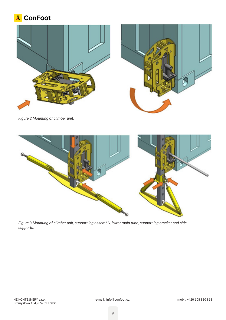





*Figure 2 Mounting of climber unit.*



*Figure 3 Mounting of climber unit, support leg assembly, lower main tube, support leg bracket and side supports.*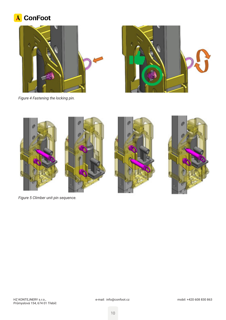# A ConFoot





*Figure 4 Fastening the locking pin.*



*Figure 5 Climber unit pin sequence.*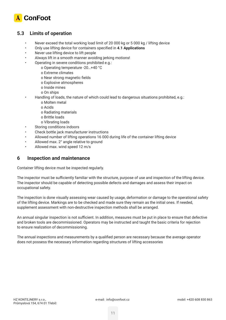

### **5.3 Limits of operation**

- Never exceed the total working load limit of 20 000 kg or 5 000 kg / lifting device
- Only use lifting device for containers specified in **4.1 Applications**
- Never use lifting device to lift people
- Always lift in a smooth manner avoiding jerking motions!
- Operating in severe conditions prohibited e.g.:
	- o Operating temperature -20…+40 °C
	- o Extreme climates
	- o Near strong magnetic fields
	- o Explosive atmospheres
	- o Inside mines
	- o On ships
- Handling of loads, the nature of which could lead to dangerous situations prohibited, e.g.:
	- o Molten metal
	- o Acids
	- o Radiating materials
	- o Brittle loads
	- o Vibrating loads
- Storing conditions indoors
- Check bottle jack manufacturer instructions
- Allowed number of lifting operations 16 000 during life of the container lifting device
- Allowed max. 2° angle relative to ground
- Allowed max. wind speed 12 m/s

#### **6 Inspection and maintenance**

Container lifting device must be inspected regularly.

The inspector must be sufficiently familiar with the structure, purpose of use and inspection of the lifting device. The inspector should be capable of detecting possible defects and damages and assess their impact on occupational safety.

The inspection is done visually assessing wear caused by usage, deformation or damage to the operational safety of the lifting device. Markings are to be checked and made sure they remain as the initial ones. If needed, supplement assessment with non-destructive inspection methods shall be arranged.

An annual singular inspection is not sufficient. In addition, measures must be put in place to ensure that defective and broken tools are decommissioned. Operators may be instructed and taught the basic criteria for rejection to ensure realization of decommissioning.

The annual inspections and measurements by a qualified person are necessary because the average operator does not possess the necessary information regarding structures of lifting accessories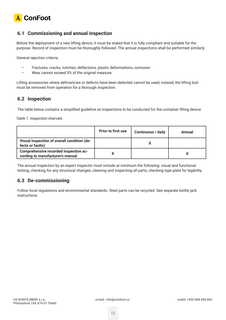

### **6.1 Commissioning and annual inspection**

Before the deployment of a new lifting device, it must be stated that it is fully compliant and suitable for the purpose. Record of inspection must be thoroughly followed. The annual inspections shall be performed similarly.

General rejection criteria:

- Fractures, cracks, notches, deflections, plastic deformations, corrosion
- Wear cannot exceed 5% of the original measure.

Lifting accessories where deficiencies or defects have been detected cannot be used; instead, the lifting tool must be removed from operation for a thorough inspection.

#### **6.2 Inspection**

The table below contains a simplified guideline on inspections to be conducted for the container lifting device

*Table 1. Inspection intervals*

|                                                                           | <b>Prior to first use</b> | <b>Continuous / daily</b> | Annual |
|---------------------------------------------------------------------------|---------------------------|---------------------------|--------|
| Visual inspection of overall condition (de-<br>fects or faults)           |                           |                           |        |
| Comprehensive recorded inspection ac-<br>cording to manufacturer's manual |                           |                           |        |

The annual inspection by an expert inspector must include at minimum the following: visual and functional testing, checking for any structural changes, cleaning and inspecting all parts, checking type plate for legibility.

### **6.3 De-commissioning**

Follow local regulations and environmental standards. Steel parts can be recycled. See separate bottle jack instructions.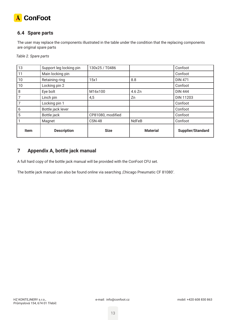

# **6.4 Spare parts**

The user may replace the components illustrated in the table under the condition that the replacing components are original spare parts

*Table 2. Spare parts*

| 13   | Support leg locking pin | 130x25 / T0486    |                 | Confoot           |
|------|-------------------------|-------------------|-----------------|-------------------|
| 11   | Main locking pin        |                   |                 | Confoot           |
| 10   | Retaining ring          | 15x1              | 8.8             | <b>DIN 471</b>    |
| 10   | Locking pin 2           |                   |                 | Confoot           |
| 8    | Eye bolt                | M16x100           | 4.6 Zn          | <b>DIN 444</b>    |
|      | Linch pin               | 4,5               | Zn              | <b>DIN 11203</b>  |
|      | Locking pin 1           |                   |                 | Confoot           |
| 6    | Bottle jack lever       |                   |                 | Confoot           |
| 5    | Bottle jack             | CP81080, modified |                 | Confoot           |
|      | Magnet                  | <b>CSN-48</b>     | <b>NdFeB</b>    | Confoot           |
| Item | <b>Description</b>      | <b>Size</b>       | <b>Material</b> | Supplier/Standard |

# **7 Appendix A, bottle jack manual**

A full hard copy of the bottle jack manual will be provided with the ConFoot CFU set.

The bottle jack manual can also be found online via searching , Chicago Pneumatic CF 81080'.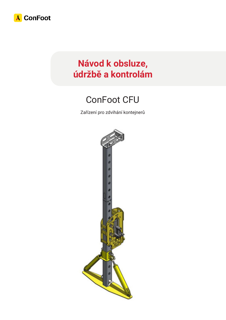

# **Návod k obsluze, údržbě a kontrolám**

# ConFoot CFU

Zařízení pro zdvihání kontejnerů

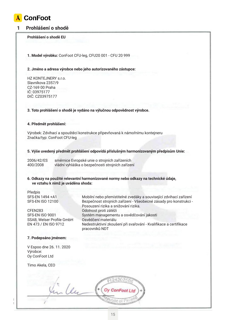

#### **1 Prohlášení o shodě**

#### **Prohlášení o shodě EU**

**1. Model výrobku:** ConFoot CFU-leg, CFU20 001 - CFU 20 999

#### **2. Jméno a adresa výrobce nebo jeho autorizovaného zástupce:**

HZ KONTEJNERY s.r.o. Slavníkova 2357/9 CZ-169 00 Praha IČ: 03975177 DIČ: CZ03975177

#### **3. Toto prohlášení o shodě je vydáno na výlučnou odpovědnost výrobce.**

#### **4. Předmět prohlášení:**

Výrobek: Zdvihací a spouštěcí konstrukce připevňovaná k námořnímu kontejneru Značka/typ: ConFoot CFU-leg

#### **5. Výše uvedený předmět prohlášení odpovídá příslušným harmonizovaným předpisům Unie:**

| 2006/42/ES | směrnice Evropské unie o strojních zařízeních    |
|------------|--------------------------------------------------|
| 400/2008   | vládní vyhláška o bezpečnosti strojních zařízení |

#### **6. Odkazy na použité relevantní harmonizované normy nebo odkazy na technické údaje, ve vztahu k nimž je uváděna shoda:**

Předpis SFS-EN 1494 +A1 Mobilní nebo přemístitelné zvedáky a související zdvihací zařízení SFS-EN ISO 12100 Bezpečnost strojních zařízení - Všeobecné zásady pro konstrukci -

CFEN283 Odolnost proti zátěži SSAB, Welser Profile GmbH Osvědčení materiálu

# Posouzení rizika a snižování rizika. SFS-EN ISO 9001 Systém managementu a osvědčování jakosti EN 473 / EN ISO 9712 Nedestruktivní zkoušení při svařování - Kvalifikace a certifikace pracovníků NDT

#### **7. Podepsáno jménem:**

V Espoo dne 26. 11. 2020 Výrobce: Oy ConFoot Ltd

Timo Akela, CEO

Lu  $H_1$   $H_2$   $H_3$   $H_4$   $H_5$   $H_1$   $H_2$   $H_3$   $H_4$   $H_5$   $H_1$   $H_2$   $H_3$ Průmyslová 154, 674 oraz 154, 674 oraz 154, 674 oraz 154, 674 oraz 154, 674 oraz 154, 674 oraz 154, 674 oraz 1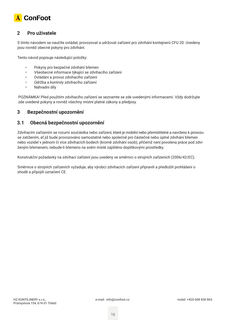

#### **2 Pro uživatele**

S tímto návodem se naučíte ovládat, provozovat a udržovat zařízení pro zdvihání kontejnerů CFU 20. Uvedeny jsou rovněž obecné pokyny pro zdvihání.

Tento návod popisuje následující položky:

- Pokyny pro bezpečné zdvihání břemen
- Všeobecné informace týkající se zdvihacího zařízení
- Ovládání a provoz zdvihacího zařízení
- Údržba a kontroly zdvihacího zařízení
- Náhradní díly

POZNÁMKA! Před použitím zdvihacího zařízení se seznamte se zde uvedenými informacemi. Vždy dodržujte zde uvedené pokyny a rovněž všechny místní platné zákony a předpisy.

#### **3 Bezpečnostní upozornění**

#### **3.1 Obecná bezpečnostní upozornění**

Zdvihacím zařízením se rozumí součástka nebo zařízení, které je mobilní nebo přemístitelné a navrženo k provozu se zatížením, ať již bude provozováno samostatně nebo společně pro částečné nebo úplné zdvihání břemen nebo vozidel v jednom či více zdvihacích bodech (kromě zdvihání osob), přičemž není povolena práce pod zdviženým břemenem, nebude-li břemeno na svém místě zajištěno doplňkovými prostředky.

Konstrukční požadavky na zdvihací zařízení jsou uvedeny ve směrnici o strojních zařízeních (2006/42/EC).

Směrnice o strojních zařízeních vyžaduje, aby výrobci zdvihacích zařízení připravili a předložili prohlášení o shodě a připojili označení CE.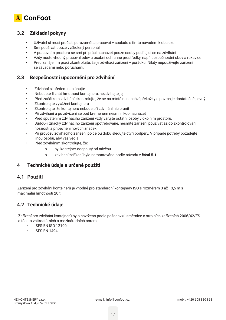

### **3.2 Základní pokyny**

- Uživatel si musí přečíst, porozumět a pracovat v souladu s tímto návodem k obsluze
- Smí používat pouze vyškolený personál
- V pracovním prostoru se smí při práci nacházet pouze osoby podílející se na zdvihání
- Vždy noste vhodný pracovní oděv a osobní ochranné prostředky, např. bezpečnostní obuv a rukavice
- Před zahájením prací zkontrolujte, že je zdvihací zařízení v pořádku. Nikdy nepoužívejte zařízení se závadami nebo poruchami.

#### **3.3 Bezpečnostní upozornění pro zdvihání**

- Zdvihání si předem naplánujte
- Nebudete-li znát hmotnost kontejneru, nezdvihejte jej
- Před začátkem zdvihání zkontrolujte, že se na místě nenachází překážky a povrch je dostatečně pevný
- Zkontrolujte vyvážení kontejneru
- Zkontrolujte, že kontejneru nebude při zdvihání nic bránit
- Při zdvihání a po zdvižení se pod břemenem nesmí nikdo nacházet
- Před spuštěním zdvihacího zařízení vždy varujte ostatní osoby v okolním prostoru.
- Budou-li značky zdvihacího zařízení opotřebované, nesmíte zařízení používat až do zkontrolování nosnosti a připevnění nových značek
- Při provozu zdvihacího zařízení po celou dobu sledujte čtyři podpěry. V případě potřeby požádejte jinou osobu, aby vás vedla
- Před zdviháním zkontrolujte, že:
	- o byl kontejner odepnutý od návěsu
	- o zdvihací zařízení bylo namontováno podle návodu v **části 5.1**

### **4 Technické údaje a určené použití**

#### **4.1 Použití**

Zařízení pro zdvihání kontejnerů je vhodné pro standardní kontejnery ISO s rozměrem 3 až 13,5 m s maximální hmotností 20 t

### **4.2 Technické údaje**

Zařízení pro zdvihání kontejnerů bylo navrženo podle požadavků směrnice o strojních zařízeních 2006/42/ES a těchto vnitrostátních a mezinárodních norem:

- SFS-EN ISO 12100
- **SFS-EN 1494**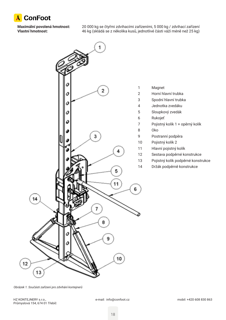

**Maximální povolená hmotnost:** 20 000 kg se čtyřmi zdvihacími zařízeními, 5 000 kg / zdvihací zařízení **Vlastní hmotnost:** 46 kg (skládá se z několika kusů, jednotlivé části váží méně než 25 kg)



- 
- Horní hlavní trubka
- Spodní hlavní trubka
- Jednotka zvedáku
- Sloupkový zvedák
	-
- Pojistný kolík 1 + opěrný kolík
- Postranní podpěra
- Pojistný kolík 2
- Hlavní pojistný kolík
- Sestava podpěrné konstrukce
- Pojistný kolík podpěrné konstrukce
- Držák podpěrně konstrukce

*Obrázek 1. Součásti zařízení pro zdvihání kontejnerů*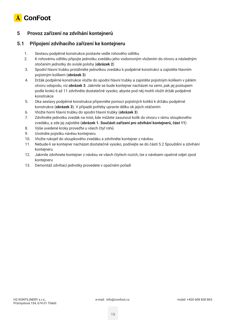

# **5 Provoz zařízení na zdvihání kontejnerů**

### **5.1 Připojení zdvihacího zařízení ke kontejneru**

- 1. Sestavu podpěrné konstrukce postavte vedle rohového odlitku
- 2. K rohovému odlitku připojte jednotku zvedáku jeho vodorovným vložením do otvoru a následným otočením jednotky do svislé polohy (**obrázek 2**)
- 3. Spodní hlavní trubku protáhněte jednotkou zvedáku k podpěrné konstrukci a zajistěte hlavním pojistným kolíkem (**obrázek 3**)
- 4. Držák podpěrné konstrukce vložte do spodní hlavní trubky a zajistěte pojistným kolíkem v pátém otvoru odspodu, viz **obrázek 3**. Jakmile se bude kontejner nacházet na zemi, pak jej postupem podle kroků 6 až 11 zdvihněte dostatečně vysoko, abyste pod něj mohli vložit držák podpěrné konstrukce
- 5. Oka sestavy podpěrné konstrukce připevněte pomocí pojistných kolíků k držáku podpěrné konstrukce (**obrázek 3**). V případě potřeby upravte délku ok jejich otáčením
- 6. Vložte horní hlavní trubku do spodní hlavní trubky (**obrázek 3**)
- 7. Zdvihněte jednotku zvedák na míst, kde můžete zasunout kolík do otvoru v rámu sloupkového zvedáku, a zde jej zajistěte (**obrázek 1. Součásti zařízení pro zdvihání kontejnerů, část 11**)
- 8. Výše uvedené kroky proveďte u všech čtyř rohů
- 9. Uvolněte pojistku návěsu kontejneru
- 10. Vložte rukojeť do sloupkového zvedáku a zdvihněte kontejner z návěsu
- 11. Nebude-li se kontejner nacházet dostatečně vysoko, podívejte se do části 5.2 Spouštění a zdvihání kontejneru
- 12. Jakmile zdvihnete kontejner z návěsu ve všech čtyřech rozích, lze s návěsem opatrně odjet zpod kontejneru
- 13. Demontáž zdvihací jednotky provedete v opačném pořadí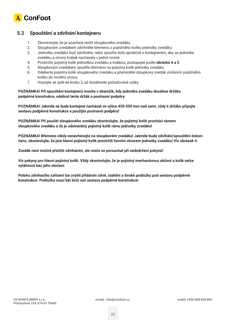

#### **5.2 Spouštění a zdvihání kontejneru**

- 1. Zkontrolujte, že je uzavřený ventil sloupkového zvedáku
- 2. Sloupkovým zvedákem zdvihněte břemeno z pojistného kolíku jednotky zvedáku
- 3. Jednotku zvedáku buď zdvihněte, nebo spusťte dolů společně s kontejnerem, aby se jednotka zvedáku a otvory trubek nacházely v jedné rovině
- 4. Prostrčte pojistný kolík jednotkou zvedáku a trubkou, postupujte podle **obrázků 4 a 5**
- 5. Sloupkovým zvedákem spusťte břemeno na pojistný kolík jednotky zvedáku
- 6. Odeberte pojistný kolík sloupkového zvedáku a přemístěte sloupkový zvedák vložením pojistného kolíku do nového otvoru
- 7. Vracejte se zpět ke kroku 2, až dosáhnete požadované výšky

**POZNÁMKA! Při spouštění kontejnerů musíte v okamžik, kdy jednotka zvedáku dosáhne držáku podpěrné konstrukce, odebrat tento držák a postranní podpěry.**

**POZNÁMKA! Jakmile se bude kontejner nacházet ve výšce 430-550 mm nad zemí, vždy k držáku připojte sestavu podpěrné konstrukce a použijte postranní podpěry!**

**POZNÁMKA! Při použití sloupkového zvedáku zkontrolujte, že pojistný kolík prochází rámem sloupkového zvedáku a že je odstraněný pojistný kolík rámu jednotky zvedáku!**

**POZNÁMKA! Břemeno nikdy nenechávejte na sloupkovém zvedáku! Jakmile bude zdvihání/spouštění dokončeno, zkontrolujte, že jste hlavní pojistný kolík prostrčili horním otvorem jednotky zvedáku! Viz obrázek 4.**

**Zvedák není možné přetížit zdviháním, ale může se porouchat při nedodržení pokynů!**

**Viz pokyny pro hlavní pojistný kolík. Vždy zkontrolujte, že je pojistný mechanismus aktivní a kolík nelze vytáhnout bez jeho otočení.**

**Polohu zdvihacího zařízení lze zvýšit přidáním silné, stabilní a široké podložky pod sestavu podpěrné konstrukce. Podložka musí být širší než sestava podpěrné konstrukce!**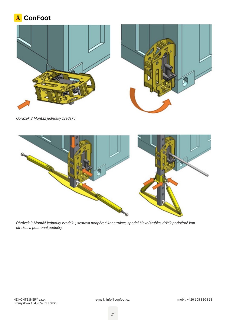





*Obrázek 2 Montáž jednotky zvedáku.*



*Obrázek 3 Montáž jednotky zvedáku, sestava podpěrné konstrukce, spodní hlavní trubka, držák podpěrné konstrukce a postranní podpěry.*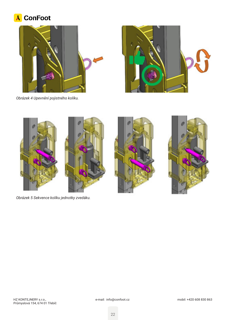# A ConFoot









*Obrázek 5 Sekvence kolíku jednotky zvedáku.*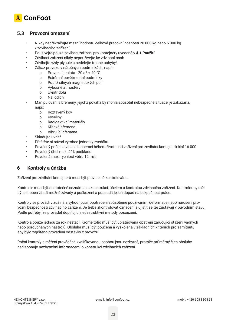

### **5.3 Provozní omezení**

- Nikdy nepřekračujte mezní hodnotu celkové pracovní nosnosti 20 000 kg nebo 5 000 kg / zdvihacího zařízení
- Používejte pouze zdvihací zařízení pro kontejnery uvedené v **4.1 Použití**
- Zdvihací zařízení nikdy nepoužívejte ke zdvihání osob
- Zdvihejte vždy plynule a nedělejte trhané pohyby!
- Zákaz provozu v náročných podmínkách, např.:
	- o Provozní teplota 20 až + 40 °C
	- o Extrémní povětrnostní podmínky
	- o Poblíž silných magnetických polí
	- o Výbušné atmosféry
	- o Uvnitř dolů
	- o Na lodích
- Manipulování s břemeny, jejichž povaha by mohla způsobit nebezpečné situace, je zakázána, např.:
	- o Roztavený kov
	- o Kyseliny
	- o Radioaktivní materiály
	- o Křehká břemena
	- o Vibrující břemena
- Skladujte uvnitř
- Přečtěte si návod výrobce jednotky zvedáku
- Povolený počet zdvihacích operací během životnosti zařízení pro zdvihání kontejnerů činí 16 000
- Povolený úhel max. 2° k podkladu
- Povolená max. rychlost větru 12 m/s

# **6 Kontroly a údržba**

Zařízení pro zdvihání kontejnerů musí být pravidelně kontrolováno.

Kontrolor musí být dostatečně seznámen s konstrukcí, účelem a kontrolou zdvihacího zařízení. Kontrolor by měl být schopen zjistit možné závady a poškození a posoudit jejich dopad na bezpečnost práce.

Kontroly se provádí vizuálně a vyhodnocují opotřebení způsobené používáním, deformace nebo narušení provozní bezpečnosti zdvihacího zařízení. Je třeba zkontrolovat označení a ujistit se, že zůstávají v původním stavu. Podle potřeby lze provádět doplňující nedestruktivní metody posouzení.

Kontrola pouze jednou za rok nestačí. Kromě toho musí být uplatňována opatření zaručující stažení vadných nebo porouchaných nástrojů. Obsluha musí být poučena a vyškolena v základních kritériích pro zamítnutí, aby bylo zajištěno provedení odstávky z provozu.

Roční kontroly a měření prováděné kvalifikovanou osobou jsou nezbytné, protože průměrný člen obsluhy nedisponuje nezbytnými informacemi o konstrukci zdvihacích zařízení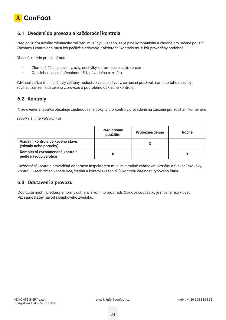

### **6.1 Uvedení do provozu a každoroční kontrola**

Před použitím nového zdvihacího zařízení musí být uvedeno, že je plně kompatibilní a vhodné pro určené použití. Záznamy i kontrolách musí být pečlivě sledovány. Každoroční kontroly musí být prováděny podobně.

Obecná kritéria pro zamítnutí:

- Zlomené části, praskliny, uzly, odchylky, deformace plastů, koroze
- Opotřebení nesmí přesáhnout 5 % původního rozměru.

Zdvihací zařízení, u nichž byly zjištěny nedostatky nebo závady, se nesmí používat; namísto toho musí být zdvihací zařízení odstaveno z provozu a podrobeno důkladné kontrole.

# **6.2 Kontroly**

Níže uvedená tabulka obsahuje zjednodušené pokyny pro kontroly prováděné na zařízení pro zdvihání kontejnerů

*Tabulka 1. Intervaly kontrol*

|                                                            | Před prvním<br>použitím | Průběžně/denně | Ročně |
|------------------------------------------------------------|-------------------------|----------------|-------|
| Vizuální kontrola celkového stavu<br>(závady nebo poruchy) |                         |                |       |
| Komplexní zaznamenaná kontrola<br>podle návodu výrobce     |                         |                |       |

Každoroční kontrola prováděná odborným inspektorem musí minimálně zahrnovat: vizuální a funkční zkoušky, kontrolu všech změn konstrukce, čištění a kontrolu všech dílů, kontrolu čitelnosti typového štítku.

### **6.3 Odstavení z provozu**

Dodržujte místní předpisy a normy ochrany životního prostředí. Ocelové součástky je možné recyklovat. Viz samostatný návod sloupkového zvedáku.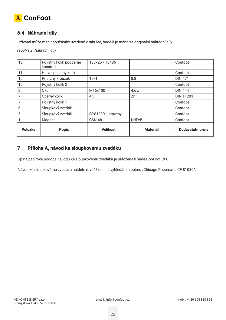

# **6.4 Náhradní díly**

Uživatel může měnit součástky uvedené v tabulce, bude-li je měnit za originální náhradní díly

*Tabulka 2. Náhradní díly*

| 13      | Pojistný kolík podpěrné<br>konstrukce | 130x25 / T0486    |                 | Confoot          |
|---------|---------------------------------------|-------------------|-----------------|------------------|
| 11      | Hlavní pojistný kolík                 |                   |                 | Confoot          |
| 10      | Přídržný kroužek                      | 15x1              | 8.8             | <b>DIN 471</b>   |
| 10      | Pojistný kolík 2                      |                   |                 | Confoot          |
| 8       | <b>Oko</b>                            | M16x100           | 4.6 Zn          | <b>DIN 444</b>   |
| 7       | Opěrný kolík                          | 4,5               | Zn              | <b>DIN 11203</b> |
| 7       | Pojistný kolík 1                      |                   |                 | Confoot          |
| 6       | Sloupkový zvedák                      |                   |                 | Confoot          |
| 5       | Sloupkový zvedák                      | CP81080, upravený |                 | Confoot          |
|         | Magnet                                | <b>CSN-48</b>     | <b>NdFeB</b>    | Confoot          |
| Položka | <b>Popis</b>                          | <b>Velikost</b>   | <b>Materiál</b> | Dodavatel/norma  |

### **7 Příloha A, návod ke sloupkovému zvedáku**

Úplná papírová podoba návodu ke sloupkovému zvedáku je přiložena k sadě ConFoot CFU.

Návod ke sloupkovému zvedáku najdete rovněž on-line vyhledáním pojmu "Chicago Pneumatic CF 81080".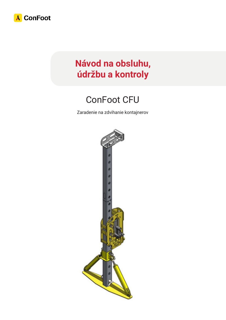

# **Návod na obsluhu, údržbu a kontroly**

# ConFoot CFU

Zaradenie na zdvihanie kontajnerov

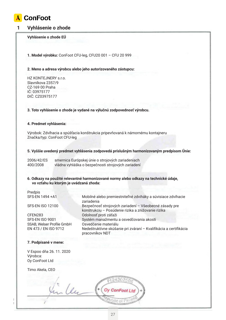

#### **1 Vyhlásenie o zhode**

#### **Vyhlásenie o zhode EÚ**

**1. Model výrobku:** ConFoot CFU-leg, CFU20 001 – CFU 20 999

#### **2. Meno a adresa výrobcu alebo jeho autorizovaného zástupcu:**

HZ KONTEJNERY s.r.o. Slavníkova 2357/9 CZ-169 00 Praha IČ: 03975177 DIČ: CZ03975177

#### **3. Toto vyhlásenie o zhode je vydané na výlučnú zodpovednosť výrobcu.**

#### **4. Predmet vyhlásenia:**

Výrobok: Zdvíhacia a spúšťacia konštrukcia pripevňovaná k námornému kontajneru Značka/typ: ConFoot CFU-leg

#### **5. Vyššie uvedený predmet vyhlásenia zodpovedá príslušným harmonizovaným predpisom Únie:**

konštrukciu – Posúdenie rizika a znižovanie rizika

2006/42/ES smernica Európskej únie o strojových zariadeniach<br>400/2008 vládna vyhláška o bezpečnosti strojových zariadení vládna vyhláška o bezpečnosti strojových zariadení

zariadenia

pracovníkov NDT

#### **6. Odkazy na použité relevantné harmonizované normy alebo odkazy na technické údaje, vo vzťahu ku ktorým je uvádzaná zhoda:**

Predpis SFS-EN 1494 +A1 Mobilné alebo premiestniteľné zdviháky a súvisiace zdvíhacie

SFS-EN ISO 12100 Bezpečnosť strojových zariadení – Všeobecné zásady pre

CFEN283 Odolnosť proti záťaži SFS-EN ISO 9001 Systém manažmentu a osvedčovania akosti SSAB, Welser Profile GmbH Osvedčenie materiálu EN 473 / EN ISO 9712 Nedeštruktívne skúšanie pri zváraní – Kvalifikácia a certifikácia

#### **7. Podpísané v mene:**

V Espoo dňa 26. 11. 2020 Výrobca: Oy ConFoot Ltd

Timo Akela, CEO

- Un  $H_1$   $H_2$   $H_3$   $H_4$   $H_5$   $H_1$   $H_2$   $H_3$   $H_4$   $H_5$   $H_1$   $H_2$   $H_3$ Průmyslová 154, 674 oraz 154, 674 oraz 154, 674 oraz 154, 674 oraz 154, 674 oraz 154, 674 oraz 154, 674 oraz 1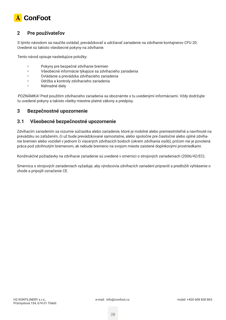

### **2 Pre používateľov**

S týmto návodom sa naučíte ovládať, prevádzkovať a udržiavať zariadenie na zdvíhanie kontajnerov CFU 20. Uvedené sú takisto všeobecné pokyny na zdvíhanie.

Tento návod opisuje nasledujúce položky:

- Pokyny pre bezpečné zdvíhanie bremien
- Všeobecné informácie týkajúce sa zdvíhacieho zariadenia
- Ovládanie a prevádzka zdvíhacieho zariadenia
- Údržba a kontroly zdvíhacieho zariadenia
- Náhradné diely

POZNÁMKA! Pred použitím zdvíhacieho zariadenia sa oboznámte s tu uvedenými informáciami. Vždy dodržujte tu uvedené pokyny a takisto všetky miestne platné zákony a predpisy.

#### **3 Bezpečnostné upozornenie**

#### **3.1 Všeobecné bezpečnostné upozornenie**

Zdvíhacím zariadením sa rozumie súčiastka alebo zariadenie, ktoré je mobilné alebo premiestniteľné a navrhnuté na prevádzku so zaťažením, či už bude prevádzkované samostatne, alebo spoločne pre čiastočné alebo úplné zdvíhanie bremien alebo vozidiel v jednom či viacerých zdvíhacích bodoch (okrem zdvíhania osôb), pričom nie je povolená práca pod zdvihnutým bremenom, ak nebude bremeno na svojom mieste zaistené doplnkovými prostriedkami.

Konštrukčné požiadavky na zdvíhacie zariadenie sú uvedené v smernici o strojových zariadeniach (2006/42/EC).

Smernica o strojových zariadeniach vyžaduje, aby výrobcovia zdvíhacích zariadení pripravili a predložili vyhlásenie o zhode a pripojili označenie CE.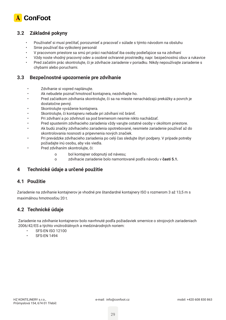

### **3.2 Základné pokyny**

- Používateľ si musí prečítať, porozumieť a pracovať v súlade s týmto návodom na obsluhu
- Smie používať iba vyškolený personál
- V pracovnom priestore sa smú pri práci nachádzať iba osoby podieľajúce sa na zdvíhaní
- Vždy noste vhodný pracovný odev a osobné ochranné prostriedky, napr. bezpečnostnú obuv a rukavice
- Pred začatím prác skontrolujte, či je zdvíhacie zariadenie v poriadku. Nikdy nepoužívajte zariadenie s chybami alebo poruchami.

#### **3.3 Bezpečnostné upozornenie pre zdvíhanie**

- Zdvíhanie si vopred naplánujte.
- Ak nebudete poznať hmotnosť kontajnera, nezdvíhajte ho.
- Pred začiatkom zdvíhania skontrolujte, či sa na mieste nenachádzajú prekážky a povrch je dostatočne pevný.
- Skontrolujte vyváženie kontajnera.
- Skontrolujte, či kontajneru nebude pri zdvíhaní nič brániť.
- Pri zdvíhaní a po zdvihnutí sa pod bremenom nesmie nikto nachádzať.
- Pred spustením zdvíhacieho zariadenia vždy varujte ostatné osoby v okolitom priestore.
- Ak budú značky zdvíhacieho zariadenia opotrebované, nesmiete zariadenie používať až do skontrolovania nosnosti a pripevnenia nových značiek.
- Pri prevádzke zdvíhacieho zariadenia po celý čas sledujte štyri podpery. V prípade potreby požiadajte inú osobu, aby vás viedla.
- Pred zdvíhaním skontrolujte, či:
	- o bol kontajner odopnutý od návesu;
	- o zdvíhacie zariadenie bolo namontované podľa návodu v **časti 5.1.**

### **4 Technické údaje a určené použitie**

#### **4.1 Použitie**

Zariadenie na zdvíhanie kontajnerov je vhodné pre štandardné kontajnery ISO s rozmerom 3 až 13,5 m s maximálnou hmotnosťou 20 t.

### **4.2 Technické údaje**

Zariadenie na zdvíhanie kontajnerov bolo navrhnuté podľa požiadaviek smernice o strojových zariadeniach 2006/42/ES a týchto vnútroštátnych a medzinárodných noriem:

- **SFS-EN ISO 12100**
- SFS-EN 1494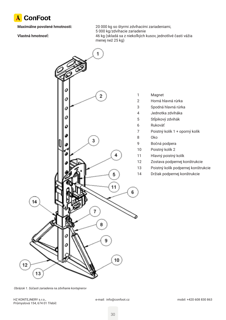

**Maximálne povolené hmotnosti:** 20 000 kg so štyrmi zdvíhacími zariadeniami, 5 000 kg/zdvíhacie zariadenie **Vlastná hmotnosť:** 46 kg (skladá sa z niekoľkých kusov, jednotlivé časti vážia menej než 25 kg)



- Magnet
- Horná hlavná rúrka
- Spodná hlavná rúrka
- Jednotka zdviháka
- Stĺpikový zdvihák
- Rukoväť
- Poistný kolík 1 + oporný kolík
- Oko
- Bočná podpera
- Poistný kolík 2
- Hlavný poistný kolík
- Zostava podpernej konštrukcie
- Poistný kolík podpernej konštrukcie
- Držiak podpernej konštrukcie

*Obrázok 1. Súčasti zariadenia na zdvíhanie kontajnerov*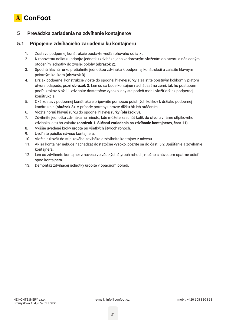

### **5 Prevádzka zariadenia na zdvíhanie kontajnerov**

#### **5.1 Pripojenie zdvíhacieho zariadenia ku kontajneru**

- 1. Zostavu podpernej konštrukcie postavte vedľa rohového odliatku.
- 2. K rohovému odliatku pripojte jednotku zdviháka jeho vodorovným vložením do otvoru a následným otočením jednotky do zvislej polohy (**obrázok 2**).
- 3. Spodnú hlavnú rúrku pretiahnite jednotkou zdviháka k podpernej konštrukcii a zaistite hlavným poistným kolíkom (**obrázok 3**).
- 4. Držiak podpernej konštrukcie vložte do spodnej hlavnej rúrky a zaistite poistným kolíkom v piatom otvore odspodu, pozri **obrázok 3**. Len čo sa bude kontajner nachádzať na zemi, tak ho postupom podľa krokov 6 až 11 zdvihnite dostatočne vysoko, aby ste podeň mohli vložiť držiak podpernej konštrukcie.
- 5. Oká zostavy podpernej konštrukcie pripevnite pomocou poistných kolíkov k držiaku podpernej konštrukcie (**obrázok 3**). V prípade potreby upravte dĺžku ôk ich otáčaním.
- 6. Vložte hornú hlavnú rúrku do spodnej hlavnej rúrky (**obrázok 3**).
- 7. Zdvihnite jednotku zdviháka na miesto, kde môžete zasunúť kolík do otvoru v ráme stĺpikového zdviháka, a tu ho zaistite (**obrázok 1. Súčasti zariadenia na zdvíhanie kontajnerov, časť 11**).
- 8. Vyššie uvedené kroky urobte pri všetkých štyroch rohoch.
- 9. Uvoľnite poistku návesu kontajnera.
- 10. Vložte rukoväť do stĺpikového zdviháka a zdvihnite kontajner z návesu.
- 11. Ak sa kontajner nebude nachádzať dostatočne vysoko, pozrite sa do časti 5.2 Spúšťanie a zdvíhanie kontajnera.
- 12. Len čo zdvihnete kontajner z návesu vo všetkých štyroch rohoch, možno s návesom opatrne odísť spod kontajnera.
- 13. Demontáž zdvíhacej jednotky urobíte v opačnom poradí.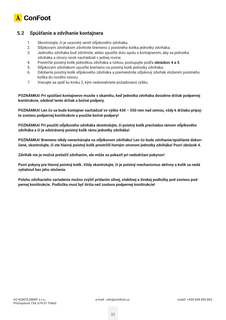

#### **5.2 Spúšťanie a zdvíhanie kontajnera**

- 1. Skontrolujte, či je uzavretý ventil stĺpikového zdviháka.
- 2. Stĺpikovým zdvihákom zdvihnite bremeno z poistného kolíka jednotky zdviháka.
- 3. Jednotku zdviháka buď zdvihnite, alebo spusťte dolu spolu s kontajnerom, aby sa jednotka zdviháka a otvory rúrok nachádzali v jednej rovine.
- 4. Prestrčte poistný kolík jednotkou zdviháka a rúrkou, postupujte podľa **obrázkov 4 a 5**.
- 5. Stĺpikovým zdvihákom spusťte bremeno na poistný kolík jednotky zdviháka.
- 6. Odoberte poistný kolík stĺpikového zdviháka a premiestnite stĺpikový zdvihák vložením poistného kolíka do nového otvoru.
- 7. Vracajte sa späť ku kroku 2, kým nedosiahnete požadovanú výšku.

**POZNÁMKA! Pri spúšťaní kontajnerov musíte v okamihu, keď jednotka zdviháka dosiahne držiak podpernej konštrukcie, odobrať tento držiak a bočné podpery.**

**POZNÁMKA! Len čo sa bude kontajner nachádzať vo výške 430 – 550 mm nad zemou, vždy k držiaku pripojte zostavu podpernej konštrukcie a použite bočné podpery!**

**POZNÁMKA! Pri použití stĺpikového zdviháka skontrolujte, či poistný kolík prechádza rámom stĺpikového zdviháka a či je odstránený poistný kolík rámu jednotky zdviháka!**

**POZNÁMKA! Bremeno nikdy nenechávajte na stĺpikovom zdviháku! Len čo bude zdvíhanie/spúšťanie dokončené, skontrolujte, či ste hlavný poistný kolík prestrčili horným otvorom jednotky zdviháka! Pozri obrázok 4.**

**Zdvihák nie je možné preťažiť zdvíhaním, ale môže sa pokaziť pri nedodržaní pokynov!**

**Pozri pokyny pre hlavný poistný kolík. Vždy skontrolujte, či je poistný mechanizmus aktívny a kolík sa nedá vytiahnuť bez jeho otočenia.**

**Polohu zdvíhacieho zariadenia možno zvýšiť pridaním silnej, stabilnej a širokej podložky pod zostavu podpernej konštrukcie. Podložka musí byť širšia než zostava podpernej konštrukcie!**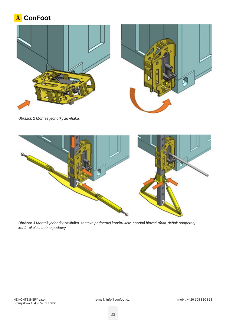





*Obrázok 2 Montáž jednotky zdviháka.*



*Obrázok 3 Montáž jednotky zdviháka, zostava podpernej konštrukcie, spodná hlavná rúrka, držiak podpernej konštrukcie a bočné podpery.*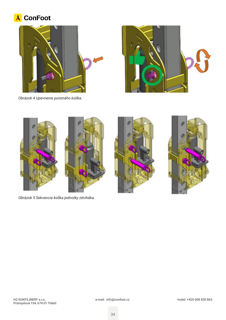# A ConFoot









*Obrázok 5 Sekvencia kolíka jednotky zdviháka.*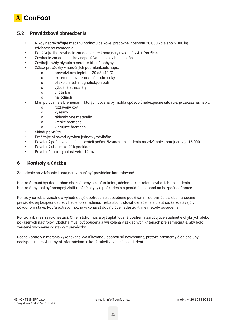

### **5.2 Prevádzkové obmedzenia**

- Nikdy neprekračujte medznú hodnotu celkovej pracovnej nosnosti 20 000 kg alebo 5 000 kg zdvíhacieho zariadenia
- Používajte iba zdvíhacie zariadenie pre kontajnery uvedené v **4.1 Použitie**.
- Zdvíhacie zariadenie nikdy nepoužívajte na zdvíhanie osôb.
- Zdvíhajte vždy plynulo a nerobte trhané pohyby!
- Zákaz prevádzky v náročných podmienkach, napr.:
	- o prevádzková teplota –20 až +40 °C
	- o extrémne poveternostné podmienky
	- o blízko silných magnetických polí
	- o výbušné atmosféry
	- o vnútri baní
	- o na lodiach
- Manipulovanie s bremenami, ktorých povaha by mohla spôsobiť nebezpečné situácie, je zakázaná, napr.:
	- o roztavený kov
	- o kyseliny
	- o rádioaktívne materiály
	- o krehké bremená
	- o vibrujúce bremená
- Skladujte vnútri.
- Prečítajte si návod výrobcu jednotky zdviháka.
- Povolený počet zdvíhacích operácií počas životnosti zariadenia na zdvíhanie kontajnerov je 16 000.
- Povolený uhol max. 2° k podkladu.
- Povolená max. rýchlosť vetra 12 m/s.

### **6 Kontroly a údržba**

Zariadenie na zdvíhanie kontajnerov musí byť pravidelne kontrolované.

Kontrolór musí byť dostatočne oboznámený s konštrukciou, účelom a kontrolou zdvíhacieho zariadenia. Kontrolór by mal byť schopný zistiť možné chyby a poškodenia a posúdiť ich dopad na bezpečnosť práce.

Kontroly sa robia vizuálne a vyhodnocujú opotrebenie spôsobené používaním, deformácie alebo narušenie prevádzkovej bezpečnosti zdvíhacieho zariadenia. Treba skontrolovať označenia a uistiť sa, že zostávajú v pôvodnom stave. Podľa potreby možno vykonávať doplňujúce nedeštruktívne metódy posúdenia.

Kontrola iba raz za rok nestačí. Okrem toho musia byť uplatňované opatrenia zaručujúce stiahnutie chybných alebo pokazených nástrojov. Obsluha musí byť poučená a vyškolená v základných kritériách pre zamietnutie, aby bolo zaistené vykonanie odstávky z prevádzky.

Ročné kontroly a merania vykonávané kvalifikovanou osobou sú nevyhnutné, pretože priemerný člen obsluhy nedisponuje nevyhnutnými informáciami o konštrukcii zdvíhacích zariadení.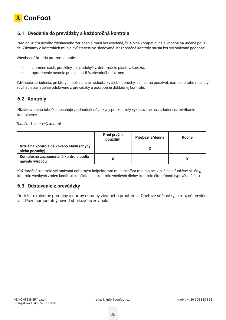

### **6.1 Uvedenie do prevádzky a každoročná kontrola**

Pred použitím nového zdvíhacieho zariadenia musí byť uvedené, či je plne kompatibilné a vhodné na určené použitie. Záznamy o kontrolách musia byť starostlivo sledované. Každoročné kontroly musia byť vykonávané podobne.

Všeobecné kritériá pre zamietnutie:

- zlomené časti, praskliny, uzly, odchýlky, deformácie plastov, korózia;
- opotrebenie nesmie presiahnuť 5 % pôvodného rozmeru.

Zdvíhacie zariadenia, pri ktorých boli zistené nedostatky alebo poruchy, sa nesmú používať; namiesto toho musí byť zdvíhacie zariadenie odstavené z prevádzky a podrobené dôkladnej kontrole.

#### **6.2 Kontroly**

Nižšie uvedená tabuľka obsahuje zjednodušené pokyny pre kontroly vykonávané na zariadení na zdvíhanie kontajnerov

*Tabuľka 1. Intervaly kontrol*

|                                                            | Pred prvým<br>použitím | Priebežne/denne | Ročne |
|------------------------------------------------------------|------------------------|-----------------|-------|
| Vizuálna kontrola celkového stavu (chyby<br>alebo poruchy) |                        |                 |       |
| Komplexná zaznamenaná kontrola podľa<br>návodu výrobcu     |                        |                 |       |

Každoročná kontrola vykonávaná odborným inšpektorom musí zahŕňať minimálne: vizuálne a funkčné skúšky, kontrolu všetkých zmien konštrukcie, čistenie a kontrolu všetkých dielov, kontrolu čitateľnosti typového štítku.

#### **6.3 Odstavenie z prevádzky**

Dodržujte miestne predpisy a normy ochrany životného prostredia. Oceľové súčiastky je možné recyklovať. Pozri samostatný návod stĺpikového zdviháka.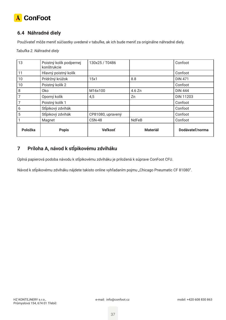

# **6.4 Náhradné diely**

Používateľ môže meniť súčiastky uvedené v tabuľke, ak ich bude meniť za originálne náhradné diely.

*Tabuľka 2. Náhradné diely*

| 13      | Poistný kolík podpernej<br>konštrukcie | 130x25 / T0486    |                 | Confoot          |
|---------|----------------------------------------|-------------------|-----------------|------------------|
| 11      | Hlavný poistný kolík                   |                   |                 | Confoot          |
| 10      | Prídržný krúžok                        | 15x1              | 8.8             | <b>DIN 471</b>   |
| 10      | Poistný kolík 2                        |                   |                 | Confoot          |
| 8       | 0ko                                    | M16x100           | 4.6 Zn          | <b>DIN 444</b>   |
|         | Oporný kolík                           | 4,5               | Zn              | <b>DIN 11203</b> |
|         | Poistný kolík 1                        |                   |                 | Confoot          |
| 6       | Stĺpikový zdvihák                      |                   |                 | Confoot          |
| 5       | Stĺpikový zdvihák                      | CP81080, upravený |                 | Confoot          |
|         | Magnet                                 | <b>CSN-48</b>     | <b>NdFeB</b>    | Confoot          |
| Položka | <b>Popis</b>                           | <b>Veľkosť</b>    | <b>Materiál</b> | Dodávateľ/norma  |

# **7 Príloha A, návod k stĺpikovému zdviháku**

Úplná papierová podoba návodu k stĺpikovému zdviháku je priložená k súprave ConFoot CFU.

Návod k stĺpikovému zdviháku nájdete takisto online vyhľadaním pojmu "Chicago Pneumatic CF 81080".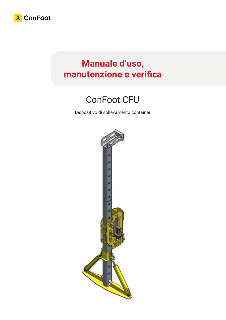

# **Manuale d'uso, manutenzione e verifica**

# ConFoot CFU

Dispositivo di sollevamento container

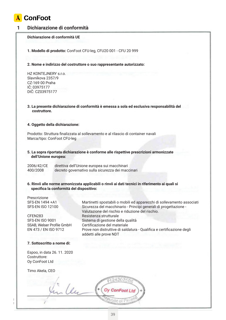

#### **1 Dichiarazione di conformità**

#### **Dichiarazione di conformità UE**

**1. Modello di prodotto:** ConFoot CFU-leg, CFU20 001 - CFU 20 999

#### **2. Nome e indirizzo del costruttore o suo rappresentante autorizzato:**

HZ KONTEJNERY s.r.o. Slavníkova 2357/9 CZ-169 00 Praha IČ: 03975177 DIČ: CZ03975177

**3. La presente dichiarazione di conformità è emessa a sola ed esclusiva responsabilità del costruttore.**

#### **4. Oggetto della dichiarazione:**

Prodotto: Struttura finalizzata al sollevamento e al rilascio di container navali Marca/tipo: ConFoot CFU-leg

**5. La sopra riportata dichiarazione è conforme alle rispettive prescrizioni armonizzate dell'Unione europea:**

2006/42/CE direttiva dell'Unione europea sui macchinari decreto governativo sulla sicurezza dei maccinari

**6. Rinvii alle norme armonizzata applicabili o rinvii ai dati tecnici in riferimento ai quali si specifica la conformità del dispositivo:**

Prescrizione

CFEN283 Resistenza strutturale

SFS-EN 1494 +A1 Martinetti spostabili o mobili ed apparecchi di sollevamento associati SFS-EN ISO 12100 Sicurezza del macchinario - Principi generali di progettazione - Valutazione del rischio e riduzione del rischio. SFS-EN ISO 9001 Sistema di gestione della qualità SSAB, Welser Profile GmbH Certificazione del materiale EN 473 / EN ISO 9712 Prove non distruttive di saldatura - Qualifica e certificazione degli addetti alle prove NDT

#### **7. Sottoscritto a nome di:**

Espoo, in data 26. 11. 2020 Costruttore: Oy ConFoot Ltd

Timo Akela, CEO

Les  $H_1$   $H_2$   $H_3$   $H_4$   $H_5$   $H_1$   $H_2$   $H_3$   $H_4$   $H_5$   $H_1$   $H_2$   $H_3$ Průmyslová 154, 674 oraz 154, 674 oraz 154, 674 oraz 154, 674 oraz 154, 674 oraz 154, 674 oraz 154, 674 oraz 1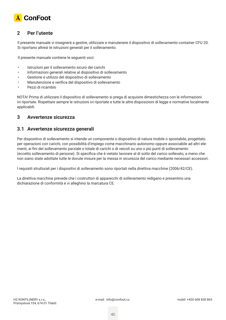

### **2 Per l'utente**

Il presente manuale vi insegnerà a gestire, utilizzare e manutenere il dispositivo di sollevamento container CFU 20. Si riportano altresì le istruzioni generali per il sollevamento.

Il presente manuale contiene le seguenti voci:

- Istruzioni per il sollevamento sicuro dei carichi
- Informazioni generali relative al dispositivo di sollevamento
- Gestione e utilizzo del dispositivo di sollevamento
- Manutenzione e verifica del dispositivo di sollevamento
- Pezzi di ricambio

NOTA! Prima di utilizzare il dispositivo di sollevamento si prega di acquisire dimestichezza con le informazioni ivi riportate. Rispettare sempre le istruzioni ivi riportate e tutte le altre disposizioni di legge e normative localmente applicabili.

#### **3 Avvertenze sicurezza**

#### **3.1 Avvertenze sicurezza generali**

Per dispositivo di sollevamento si intende un componente o dispositivo di natura mobile o spostabile, progettato per operazioni con carichi, con possibilità d'impiego come macchinario autonomo oppure associabile ad altri elementi, ai fini del sollevamento parziale o totale di carichi o di veicoli su uno o più punti di sollevamento (eccetto sollevamento di persone). Si specifica che è vietato lavorare al di sotto del carico sollevato, a meno che non siano state adottate tutte le dovute misure per la messa in sicurezza del carico mediante necessari accessori.

I requisiti strutturali per i dispositivi di sollevamento sono riportati nella direttiva macchine (2006/42/CE).

La direttiva macchine prevede che i costruttori di apparecchi di sollevamento redigano e presentino una dichiarazione di conformità e vi alleghino la marcatura CE.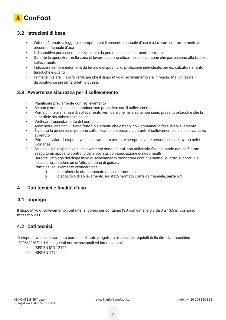

#### **3.2 Istruzioni di base**

- L'utente è tenuto a leggere e comprendere il presente manuale d'uso e a lavorare conformemente al presente manuale d'uso
- Il dispositivo può essere utilizzato solo da personale specificamente formato
- Durante le operazioni, nella zona di lavoro possono situarsi solo le persone che partecipano alla fase di sollevamento
- Indossare sempre indumenti da lavoro e dispositivi di protezione individuale, per es. calzature antinfor tunistiche e guanti
- Prima di iniziare il lavoro verificare che il dispositivo di sollevamento sia in regola. Mai utilizzare il dispositivo se presenta difetti o guasti.

#### **3.3 Avvertenze sicurezza per il sollevamento**

- Pianificare previamente ogni sollevamento
- Se non è noto il peso del container, non procedere con il sollevamento
- Prima di iniziare la fase di sollevamento verificare che nella zona non siano presenti ostacoli e che la superficie sia abbastanza solida
- Verificare l'assestamento del container
- Assicurarsi che non vi siano fattori o elementi che ostacolino il container in fase di sollevamento
- È vietata la presenza di persone sotto il carico sospeso, sia durante il sollevamento sia a sollevamento avvenuto
- Prima di avviare il dispositivo di sollevamento avvisare sempre le altre persone che si trovano nelle vicinanze.
- Se i sigilli del dispositivo di sollevamento sono usurati, non utilizzarlo fino a quando non sarà stato eseguito un apposito controllo della portata, con apposizione di nuovi sigilli
- Durante l'impiego del dispositivo di sollevamento monitorare continuamente i quattro supporti. Se necessario, chiedere ad un'altra persona di guidarvi
- Prima del sollevamento verificare che:
	- o il container sia stato staccato dal semirimorchio
	- o il dispositivo di sollevamento sia stato montato come da manuale, **parte 5.1**

#### **4 Dati tecnici e finalità d'uso**

#### **4.1 Impiego**

Il dispositivo di sollevamento container è idoneo per container ISO con dimensioni da 3 a 13,5 m, con peso massimo 20 t

#### **4.2 Dati tecnici:**

Il dispositivo di sollevamento container è stato progettato ai sensi dei requisiti della direttiva macchine 2006/42/CE e delle seguenti norme nazionali ed internazionali:

- SFS-EN ISO 12100
- SFS-EN 1494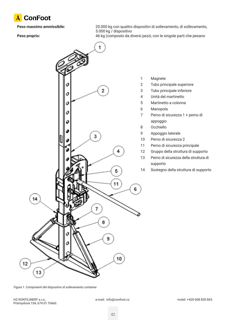

**Peso massimo ammissibile:** 20.000 kg con quattro dispositivi di sollevamento, di sollevamento, 5.000 kg / dispositivo

Peso proprio: **Peso proprio:** 46 kg (composto da diversi pezzi, con le singole parti che pesano

appoggio

supporto



*Figura 1. Componenti del dispositivo di sollevamento container*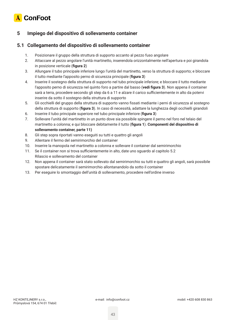

### **5 Impiego del dispositivo di sollevamento container**

#### **5.1 Collegamento del dispositivo di sollevamento container**

- 1. Posizionare il gruppo della struttura di supporto accanto al pezzo fuso angolare
- 2. Attaccare al pezzo angolare l'unità martinetto, inserendola orizzontalmente nell'apertura e poi girandola in posizione verticale (**figura 2**)
- 3. Allungare il tubo principale inferiore lungo l'unità del martinetto, verso la struttura di supporto; e bloccare il tutto mediante l'apposito perno di sicurezza principale (**figura 3**)
- 4. Inserire il sostegno della struttura di supporto nel tubo principale inferiore; e bloccare il tutto mediante l'apposito perno di sicurezza nel quinto foro a partire dal basso (**vedi figura 3**). Non appena il container sarà a terra, procedere secondo gli step da 6 a 11 e alzare il carico sufficientemente in alto da potervi inserire da sotto il sostegno della struttura di supporto
- 5. Gli occhielli del gruppo della struttura di supporto vanno fissati mediante i perni di sicurezza al sostegno della struttura di supporto (**figura 3**). In caso di necessità, adattare la lunghezza degli occhielli girandoli
- 6. Inserire il tubo principale superiore nel tubo principale inferiore (**figura 3**)
- 7. Sollevare l'unità del martinetto in un punto dove sia possibile spingere il perno nel foro nel telaio del martinetto a colonna; e qui bloccare debitamente il tutto (**figura 1**). **Componenti del dispositivo di sollevamento container, parte 11)**
- 8. Gli step sopra riportati vanno eseguiti su tutti e quattro gli angoli
- 9. Allentare il fermo del semirimorchio del container
- 10. Inserire la manopola nel martinetto a colonna e sollevare il container dal semirimorchio
- 11. Se il container non si trova sufficientemente in alto, date uno sguardo al capitolo 5.2 Rilascio e sollevamento del container
- 12. Non appena il container sarà stato sollevato dal semirimorchio su tutti e quattro gli angoli, sarà possibile spostare delicatamente il semirimorchio allontanandolo da sotto il container
- 13. Per eseguire lo smontaggio dell'unità di sollevamento, procedere nell'ordine inverso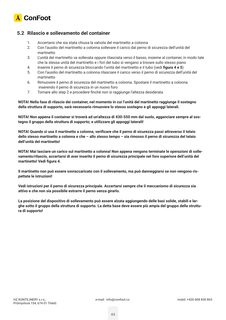

#### **5.2 Rilascio e sollevamento del container**

- 1. Accertarsi che sia stata chiusa la valvola del martinetto a colonna
- 2. Con l'ausilio del martinetto a colonna sollevare il carico dal perno di sicurezza dell'unità del martinetto
- 3. L'unità del martinetto va sollevata oppure rilasciata verso il basso, insieme al container, in modo tale che la stessa unità del martinetto e i fori del tubo si vengano a trovare sullo stesso piano
- 4. Inserire il perno di sicurezza bloccando l'unità del martinetto e il tubo (vedi **figura 4 e 5**)
- 5. Con l'ausilio del martinetto a colonna rilasciare il carico verso il perno di sicurezza dell'unità del martinetto
- 6. Rimuovere il perno di sicurezza del martinetto a colonna. Spostare il martinetto a colonna inserendo il perno di sicurezza in un nuovo foro
- 7. Tornare allo step 2 e procedere finché non si raggiunge l'altezza desiderata

**NOTA! Nella fase di rilascio dei container, nel momento in cui l'unità del martinetto raggiunge il sostegno della struttura di supporto, sarà necessario rimuovere lo stesso sostegno e gli appoggi laterali.**

**NOTA! Non appena il container si troverà ad un'altezza di 430-550 mm dal suolo, agganciare sempre al sostegno il gruppo della struttura di supporto; e utilizzare gli appoggi laterali!**

**NOTA! Quando si usa il martinetto a colonna, verificare che il perno di sicurezza passi attraverso il telaio dello stesso martinetto a colonna e che – allo stesso tempo – sia rimosso il perno di sicurezza del telaio dell'unità del martinetto!**

**NOTA! Mai lasciare un carico sul martinetto a colonna! Non appena vengono terminate le operazioni di sollevamento/rilascio, accertarsi di aver inserito il perno di sicurezza principale nel foro superiore dell'unità del martinetto! Vedi figura 4.**

**Il martinetto non può essere sovraccaricato con il sollevamento, ma può danneggiarsi se non vengono rispettate le istruzioni!**

**Vedi istruzioni per il perno di sicurezza principale. Accertarsi sempre che il meccanismo di sicurezza sia attivo e che non sia possibile estrarre il perno senza girarlo.**

**La posizione del dispositivo di sollevamento può essere alzata aggiungendo delle basi solide, stabili e larghe sotto il gruppo della struttura di supporto. La detta base deve essere più ampia del gruppo della struttura di supporto!**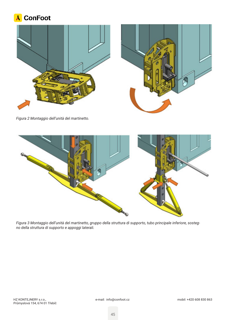





*Figura 2 Montaggio dell'unità del martinetto.*



*Figura 3 Montaggio dell'unità del martinetto, gruppo della struttura di supporto, tubo principale inferiore, sostegno della struttura di supporto e appoggi laterali.*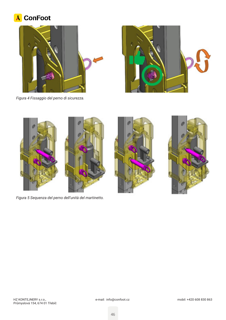# A ConFoot









*Figura 5 Sequenza del perno dell'unità del martinetto.*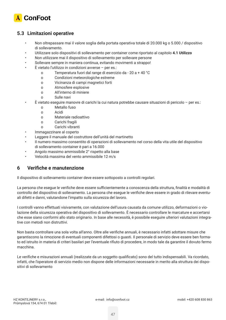

### **5.3 Limitazioni operative**

- Non oltrepassare mai il valore soglia della portata operativa totale di 20.000 kg o 5.000 / dispositivo di sollevamento.
- Utilizzare solo dispositivi di sollevamento per container come riportato al capitolo **4.1 Utilizzo**
- Non utilizzare mai il dispositivo di sollevamento per sollevare persone
- Sollevare sempre in maniera continua, evitando movimenti a strappo!
- $\dot{E}$  vietato l'utilizzo in condizioni avverse per es.:
	- o Temperatura fuori dal range di esercizio da 20 a + 40 °C
	- o Condizioni meteorologiche estreme
	- o Vicinanza di campi magnetici forti
	- o Atmosfere esplosive
	- o All'interno di miniere
	- o Sulle navi
- È vietato eseguire manovre di carichi la cui natura potrebbe causare situazioni di pericolo per es.:
	- o Metallo fuso
	- o Acidi
	- o Materiale radioattivo
	- o Carichi fragili
	- o Carichi vibranti
- Immagazzinare al coperto
- Leggere il manuale del costruttore dell'unità del martinetto
- Il numero massimo consentito di operazioni di sollevamento nel corso della vita utile del dispositivo di sollevamento container è pari a 16.000
- Angolo massimo ammissibile 2° rispetto alla base
- Velocità massima del vento ammissibile 12 m/s

### **6 Verifiche e manutenzione**

Il dispositivo di sollevamento container deve essere sottoposto a controlli regolari.

La persona che esegue le verifiche deve essere sufficientemente a conoscenza della struttura, finalità e modalità di controllo del dispositivo di sollevamento. La persona che esegue le verifiche deve essere in grado di rilevare eventuali difetti e danni, valutandone l'impatto sulla sicurezza del lavoro.

I controlli vanno effettuati visivamente, con valutazione dell'usura causata da comune utilizzo, deformazioni o violazione della sicurezza operativa del dispositivo di sollevamento. È necessario controllare le marcature e accertarsi che esse siano conformi allo stato originario. In base alle necessità, è possibile eseguire ulteriori valutazioni integrative con metodi non distruttivi.

Non basta controllare una sola volta all'anno. Oltre alle verifiche annuali, è necessario infatti adottare misure che garantiscono la rimozione di eventuali componenti difettosi o guasti. Il personale di servizio deve essere ben formato ed istruito in materia di criteri basilari per l'eventuale rifiuto di procedere, in modo tale da garantire il dovuto fermo macchina.

Le verifiche e misurazioni annuali (realizzate da un soggetto qualificato) sono del tutto indispensabili. Va ricordato, infatti, che l'operatore di servizio medio non dispone delle informazioni necessarie in merito alla struttura dei dispositivi di sollevamento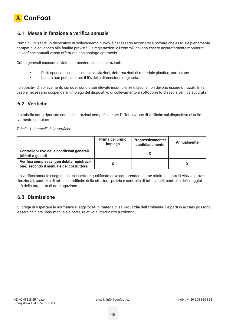

#### **6.1 Messa in funzione e verifica annuale**

Prima di utilizzare un dispositivo di sollevamento nuovo, è necessario accertarsi e provare che esso sia pienamente compatibile ed idoneo alla finalità prevista. Le registrazioni e i controlli devono essere accuratamente monitorati. Le verifiche annuali vanno effettuate con analogo approccio.

Criteri generali causanti divieto di procedere con le operazioni:

- Parti spaccate, cricche, noduli, deviazioni, deformazioni di materiale plastico, corrosione
- L'usura non può superare il 5% della dimensione originaria.

I dispositivi di sollevamento sui quali sono state rilevate insufficienze o lacune non devono essere utilizzati. In tal caso è necessario sospendere l'impiego del dispositivo di sollevamento e sottoporre lo stesso a verifica accurata.

### **6.2 Verifiche**

La tabella sotto riportata contiene istruzioni semplificate per l'effettuazione di verifiche sul dispositivo di sollevamento container

*Tabella 1. Intervalli delle verifiche*

|                                                                                       | Prima del primo<br>impiego | Progressivamente/<br>quotidianamente | Annualmente |
|---------------------------------------------------------------------------------------|----------------------------|--------------------------------------|-------------|
| Controllo visivo delle condizioni generali<br>(difetti o guasti)                      |                            |                                      |             |
| Verifica complessa (con debita registrazi-<br>one) secondo il manuale del costruttore |                            |                                      |             |

La verifica annuale eseguita da un ispettore qualificato deve comprendere come minimo: controlli visivi e prove funzionali, controllo di tutte le modifiche della struttura, pulizia e controllo di tutti i pezzi, controllo della leggibilità della targhetta di omologazione.

#### **6.3 Dismissione**

Si prega di rispettare le normative e leggi locali in materia di salvaguardia dell'ambiente. Le parti in acciaio possono essere riciclate. Vedi manuale a parte, relativo al martinetto a colonna.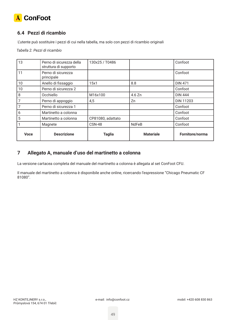

# **6.4 Pezzi di ricambio**

L'utente può sostituire i pezzi di cui nella tabella, ma solo con pezzi di ricambio originali

*Tabella 2. Pezzi di ricambio*

| 13          | Perno di sicurezza della<br>struttura di supporto | 130x25 / T0486    |                  | Confoot          |
|-------------|---------------------------------------------------|-------------------|------------------|------------------|
| 11          | Perno di sicurezza<br>principale                  |                   |                  | Confoot          |
| 10          | Anello di fissaggio                               | 15x1              | 8.8              | <b>DIN 471</b>   |
| 10          | Perno di sicurezza 2                              |                   |                  | Confoot          |
| 8           | Occhiello                                         | M16x100           | 4.6 Zn           | <b>DIN 444</b>   |
| 7           | Perno di appoggio                                 | 4,5               | Zn               | <b>DIN 11203</b> |
|             | Perno di sicurezza 1                              |                   |                  | Confoot          |
| 6           | Martinetto a colonna                              |                   |                  | Confoot          |
| 5           | Martinetto a colonna                              | CP81080, adattato |                  | Confoot          |
|             | Magnete                                           | <b>CSN-48</b>     | <b>NdFeB</b>     | Confoot          |
| <b>Voce</b> | <b>Descrizione</b>                                | <b>Taglia</b>     | <b>Materiale</b> | Fornitore/norma  |

# **7 Allegato A, manuale d'uso del martinetto a colonna**

La versione cartacea completa del manuale del martinetto a colonna è allegata al set ConFoot CFU.

Il manuale del martinetto a colonna è disponibile anche online, ricercando l'espressione "Chicago Pneumatic CF 81080".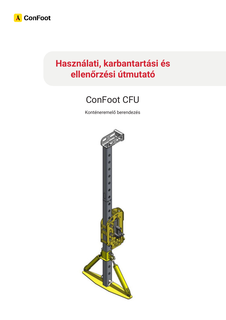

# **Használati, karbantartási és ellenőrzési útmutató**

# ConFoot CFU

Konténeremelő berendezés

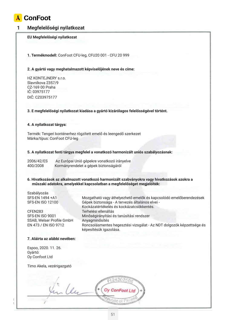

#### **1 Megfelelőségi nyilatkozat**

#### **EU Megfelelőségi nyilatkozat**

**1. Termékmodell:** ConFoot CFU-leg, CFU20 001 - CFU 20 999

#### **2. A gyártó vagy meghatalmazott képviselőjének neve és címe:**

HZ KONTEJNERY s.r.o. Slavníkova 2357/9 CZ-169 00 Praha IČ: 03975177 DIČ: CZ03975177

#### **3. E megfelelőségi nyilatkozat kiadása a gyártó kizárólagos felelősségével történt.**

#### **4. A nyilatkozat tárgya:**

Termék: Tengeri konténerhez rögzített emelő és leengedő szerkezet Márka/típus: ConFoot CFU-leg

#### **5. A nyilatkozat fenti tárgya megfelel a vonatkozó harmonizált uniós szabályozásnak:**

képesítésük igazolása.

| 2006/42/ES | Az Európai Unió gépekre vonatkozó irányelve |
|------------|---------------------------------------------|
| 400/2008   | Kormányrendelet a gépek biztonságáról       |

#### **6. Hivatkozások az alkalmazott vonatkozó harmonizált szabványokra vagy hivatkozások azokra a műszaki adatokra, amelyekkel kapcsolatban a megfelelőséget megjelölték:**

Kockázatértékelés és kockázatcsökkentés.

Szabályozás SFS-EN 1494 +A1 Mozgatható vagy áthelyezhető emelők és kapcsolódó emelőberendezések SFS-EN ISO 12100 Gépek biztonsága - A tervezés általános elvei -

CFEN283 Terhelési ellenállás SFS-EN ISO 9001 Minőségirányítási és tanúsítási rendszer SSAB, Welser Profile GmbH Anyagminősítés EN 473 / EN ISO 9712 Roncsolásmentes hegesztési vizsgálat - Az NDT dolgozók képzettsége és

# **7. Aláírta az alábbi nevében:**

Espoo, 2020. 11. 26. Gyártó: Oy Confoot Ltd

Timo Akela, vezérigazgató

 $\alpha$  $H_1$   $H_2$   $H_3$   $H_4$   $H_5$   $H_1$   $H_2$   $H_3$   $H_4$   $H_5$   $H_1$   $H_2$   $H_3$ Průmyslová 154, 674 oraz 154, 674 oraz 154, 674 oraz 154, 674 oraz 154, 674 oraz 154, 674 oraz 154, 674 oraz 1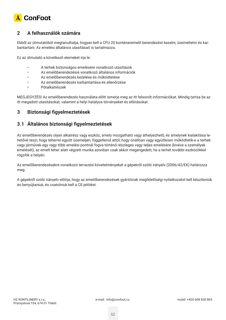

### **2 A felhasználók számára**

Ebből az útmutatóból megtanulhatja, hogyan kell a CFU 20 konténeremelő berendezést kezelni, üzemeltetni és karbantartani. Az emelési általános utasításait is tartalmazza.

Ez az útmutató a következő elemeket írja le:

- A terhek biztonságos emelésére vonatkozó utasítások
- Az emelőberendezésre vonatkozó általános információk
- Az emelőberendezés kezelése és működtetése
- Az emelőberendezés karbantartása és ellenőrzése
- Pótalkatrészek

MEGJEGYZÉS! Az emelőberendezés használata előtt ismerje meg az itt felsorolt információkat. Mindig tartsa be az itt megadott utasításokat, valamint a helyi hatályos törvényeket és előírásokat.

#### **3 Biztonsági figyelmeztetések**

#### **3.1 Általános biztonsági figyelmeztetések**

Az emelőberendezés olyan alkatrész vagy eszköz, amely mozgatható vagy áthelyezhető, és amelynek kialakítása lehetővé teszi, hogy teherrel együtt üzemeljen, függetlenül attól, hogy önállóan vagy együttesen működtetik-e a terhek vagy járművek egy vagy több emelési pontnál fogva történő részleges vagy teljes emelésére (kivéve a személyek emelését), az emelt teher alatt végzett munka azonban csak akkor megengedett, ha a terhet további eszközökkel rögzítik a helyén.

Az emelőberendezésekre vonatkozó tervezési követelményeket a gépekről szóló irányelv (2006/42/EK) határozza meg.

A gépekről szóló irányelv előírja, hogy az emelőberendezések gyártóinak megfelelőségi nyilatkozatot kell készíteniük és benyújtaniuk, és csatolniuk kell a CE-jelölést.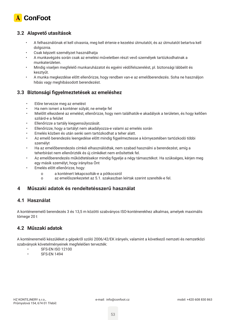

# **3.2 Alapvető utasítások**

- A felhasználónak el kell olvasnia, meg kell értenie e kezelési útmutatót, és az útmutatót betartva kell dolgoznia.
- Csak képzett személyzet használhatja
- A munkavégzés során csak az emelési műveletben részt vevő személyek tartózkodhatnak a munkaterületen.
- Mindig viseljen megfelelő munkaruházatot és egyéni védőfelszerelést, pl. biztonsági lábbelit és kesztyűt.
- A munka megkezdése előtt ellenőrizze, hogy rendben van-e az emelőberendezés. Soha ne használjon hibás vagy meghibásodott berendezést.

### **3.3 Biztonsági figyelmeztetések az emeléshez**

- Előre tervezze meg az emelést
- Ha nem ismeri a konténer súlyát, ne emelje fel
- Mielőtt elkezdené az emelést, ellenőrizze, hogy nem találhatók-e akadályok a területen, és hogy kellően szilárd-e a felület
- Ellenőrizze a tartály kiegyensúlyozását.
- Ellenőrizze, hogy a tartályt nem akadályozza-e valami az emelés során
- Emelés közben és után senki sem tartózkodhat a teher alatt.
- Az emelő berendezés leengedése előtt mindig figyelmeztesse a környezetében tartózkodó többi személyt
- Ha az emelőberendezés címkéi elhasználódtak, nem szabad használni a berendezést, amíg a teherbírást nem ellenőrizték és új címkéket nem erősítettek fel.
- Az emelőberendezés működtetésekor mindig figyelje a négy támasztékot. Ha szükséges, kérjen meg egy másik személyt, hogy irányítsa Önt
- Emelés előtt ellenőrizze, hogy:
	- o a konténert lekapcsolták-e a pótkocsiról
	- o az emelőszerkezetet az 5.1. szakaszban leírtak szerint szerelték-e fel.

#### **4 Műszaki adatok és rendeltetésszerű használat**

#### **4.1 Használat**

A konténeremelő berendezés 3 és 13,5 m közötti szabványos ISO-konténerekhez alkalmas, amelyek maximális tömege 20 t

### **4.2 Műszaki adatok**

A konténeremelő készüléket a gépekről szóló 2006/42/EK irányelv, valamint a következő nemzeti és nemzetközi szabványok követelményeinek megfelelően tervezték:

- **SFS-EN ISO 12100**
- **SFS-EN 1494**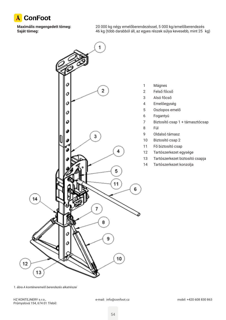

**Maximális megengedett tömeg:** 20 000 kg négy emelőberendezéssel, 5 000 kg/emelőberendezés **Saját tömeg:** 46 kg (több darabból áll, az egyes részek súlya kevesebb, mint 25 kg)



*<sup>1.</sup> ábra A konténeremelő berendezés alkatrészei*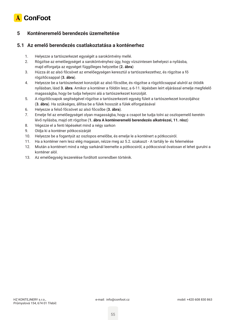

# **5 Konténeremelő berendezés üzemeltetése**

#### **5.1 Az emelő berendezés csatlakoztatása a konténerhez**

- 1. Helyezze a tartószerkezet egységét a saroköntvény mellé.
- 2. Rögzítse az emelőegységet a saroköntvényhez úgy, hogy vízszintesen behelyezi a nyílásba, majd elforgatja az egységet függőleges helyzetbe (**2. ábra**)
- 3. Húzza át az alsó főcsövet az emelőegységen keresztül a tartószerkezethez, és rögzítse a fő rögzítőcsappal (**3. ábra**).
- 4. Helyezze be a tartószerkezet konzolját az alsó főcsőbe, és rögzítse a rögzítőcsappal alulról az ötödik nyílásban, lásd **3. ábra**. Amikor a konténer a földön lesz, a 6-11. lépésben leírt eljárással emelje megfelelő magasságba, hogy be tudja helyezni alá a tartószerkezet konzolját.
- 5. A rögzítőcsapok segítségével rögzítse a tartószerkezeti egység füleit a tartószerkezet konzoljához (**3. ábra**). Ha szükséges, állítsa be a fülek hosszát a fülek elforgatásával
- 6. Helyezze a felső főcsövet az alsó főcsőbe (**3. ábra**).
- 7. Emelje fel az emelőegységet olyan magasságba, hogy a csapot be tudja tolni az oszlopemelő keretén lévő nyílásba, majd ott rögzítse (**1. ábra A konténeremelő berendezés alkatrészei, 11. rész**)
- 8. Végezze el a fenti lépéseket mind a négy sarkon
- 9. Oldja ki a konténer pótkocsizárját
- 10. Helyezze be a fogantyút az oszlopos emelőbe, és emelje le a konténert a pótkocsiról.
- 11. Ha a konténer nem lesz elég magasan, nézze meg az 5.2. szakaszt A tartály le- és felemelése
- 12. Miután a konténert mind a négy sarkánál leemelte a pótkocsiról, a pótkocsival óvatosan el lehet gurulni a konténer alól.
- 13. Az emelőegység leszerelése fordított sorrendben történik.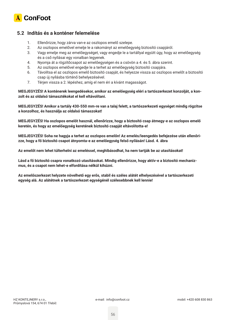

#### **5.2 Indítás és a konténer felemelése**

- 1. Ellenőrizze, hogy zárva van-e az oszlopos emelő szelepe.
- 2. Az oszlopos emelővel emelje le a rakományt az emelőegység biztosító csapjáról.
- 3. Vagy emelje meg az emelőegységet, vagy engedje le a tartállyal együtt úgy, hogy az emelőegység és a cső nyílásai egy vonalban legyenek.
- 4. Nyomja át a rögzítőcsapot az emelőegységen és a csövön a 4. és 5. ábra szerint.
- 5. Az oszlopos emelővel engedje le a terhet az emelőegység biztosító csapjára.
- 6. Távolítsa el az oszlopos emelő biztosító csapját, és helyezze vissza az oszlopos emelőt a biztosító csap új nyílásba történő behelyezésével.
- 7. Térjen vissza a 2. lépéshez, amíg el nem éri a kívánt magasságot.

**MEGJEGYZÉS! A konténerek leengedésekor, amikor az emelőegység eléri a tartószerkezet konzolját, a konzolt és az oldalsó támasztékokat el kell eltávolítani.**

**MEGJEGYZÉS! Amikor a tartály 430-550 mm-re van a talaj felett, a tartószerkezeti egységet mindig rögzítse a konzolhoz, és használja az oldalsó támaszokat!**

**MEGJEGYZÉS! Ha oszlopos emelőt használ, ellenőrizze, hogy a biztosító csap átmegy-e az oszlopos emelő keretén, és hogy az emelőegység keretének biztosító csapját eltávolította-e!**

**MEGJEGYZÉS! Soha ne hagyja a terhet az oszlopos emelőn! Az emelés/leengedés befejezése után ellenőrizze, hogy a fő biztosító csapot átnyomta-e az emelőegység felső nyílásán! Lásd. 4. ábra**

**Az emelőt nem lehet túlterhelni az emeléssel, meghibásodhat, ha nem tartják be az utasításokat!**

**Lásd a fő biztosító csapra vonatkozó utasításokat. Mindig ellenőrizze, hogy aktív-e a biztosító mechanizmus, és a csapot nem lehet-e elfordítása nélkül kihúzni.**

**Az emelőszerkezet helyzete növelhető egy erős, stabil és széles alátét elhelyezésével a tartószerkezeti egység alá. Az alátétnek a tartószerkezet egységénél szélesebbnek kell lennie!**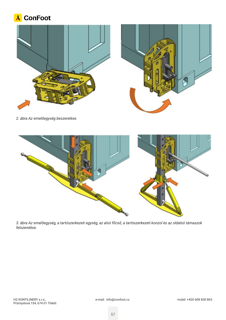





*2. ábra Az emelőegység beszerelése.*



*3. ábra Az emelőegység, a tartószerkezeti egység, az alsó főcső, a tartószerkezeti konzol és az oldalsó támaszok felszerelése.*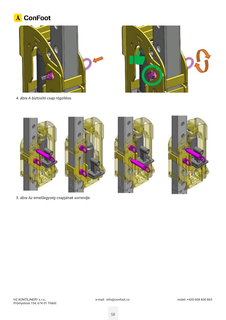# A ConFoot





*4. ábra A biztosító csap rögzítése.*



*5. ábra Az emelőegység csapjának sorrendje.*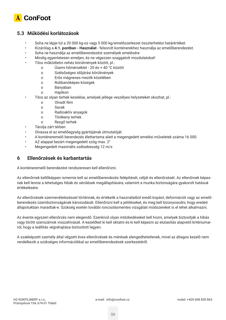

### **5.3 Működési korlátozások**

- Soha ne lépje túl a 20 000 kg-os vagy 5 000 kg/emelőszerkezet összterhelési határértéket.
- Kizárólag a **4.1. pontban Használat** felsorolt konténerekhez használja az emelőberendezést.
- Soha ne használja az emelőberendezést személyek emelésére
- Mindig egyenletesen emeljen, és ne végezzen szaggatott mozdulatokat!
- Tilos működtetni nehéz körülmények között, pl.:
	- o Üzemi hőmérséklet 20 és + 40 °C között
	- o Szélsőséges időjárási körülmények
	- o Erős mágneses mezők közelében
	- o Robbanóképes közegek
	- o Bányában
	- o Hajókon
- Tilos az olyan terhek kezelése, amelyek jellege veszélyes helyzeteket okozhat, pl.:
	- o Olvadt fém
	- o Savak
	- o Radioaktív anyagok
	- o Törékeny terhek
	- o Rezgő terhek
- Tárolja zárt térben
- Olvassa el az emelőegység gyártójának útmutatóját
- A konténeremelő berendezés élettartama alatt a megengedett emelési műveletek száma 16 000.
- AZ alappal bezárt megengedett szög max. 2°
- Megengedett maximális szélsebesség 12 m/s

#### **6 Ellenőrzések és karbantartás**

A konténeremelő berendezést rendszeresen kell ellenőrizni.

Az ellenőrnek kellőképpen ismernie kell az emelőberendezés felépítését, célját és ellenőrzését. Az ellenőrnek képesnek kell lennie a lehetséges hibák és sérülések megállapítására, valamint a munka biztonságára gyakorolt hatásuk értékelésére.

Az ellenőrzések szemrevételezéssel történnek, és értékelik a használatból eredő kopást, deformációt vagy az emelőberendezés üzembiztonságának károsodását. Ellenőrizni kell a jelöléseket, és meg kell bizonyosodni, hogy eredeti állapotukban maradtak-e. Szükség esetén további roncsolásmentes vizsgálati módszereket is el lehet alkalmazni.

Az évente egyszeri ellenőrzés nem elegendő. Ezenkívül olyan intézkedéseket kell hozni, amelyek biztosítják a hibás vagy törött szerszámok visszahívását. A kezelőket ki kell oktatni és ki kell képezni az elutasítás alapvető kritériumairól, hogy a leállítás végrehajtása biztosított legyen.

A szakképzett személy által végzett éves ellenőrzések és mérések elengedhetetlenek, mivel az átlagos kezelő nem rendelkezik a szükséges információkkal az emelőberendezések szerkezetéről.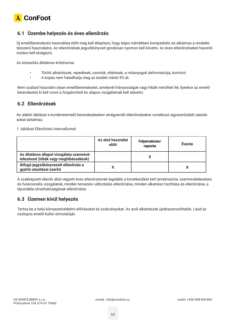

# **6.1 Üzembe helyezés és éves ellenőrzés**

Új emelőberendezés használata előtt meg kell állapítani, hogy teljes mértékben kompatibilis és alkalmas a rendeltetésszerű használatra. Az ellenőrzések jegyzőkönyveit gondosan nyomon kell követni. Az éves ellenőrzéseket hasonló módon kell elvégezni.

Az elutasítás általános kritériumai:

- Törött alkatrészek, repedések, csomók, eltérések, a műanyagok deformációja, korrózió
- A kopás nem haladhatja meg az eredeti méret 5%-át.

Nem szabad használni olyan emelőberendezést, amelynél hiányosságok vagy hibák merültek fel; ilyenkor az emelőberendezést ki kell vonni a forgalomból és alapos vizsgálatnak kell alávetni.

#### **6.2 Ellenőrzések**

Az alábbi táblázat a konténeremelő berendezéseken elvégzendő ellenőrzésekre vonatkozó egyszerűsített utasításokat tartalmaz.

*1. táblázat Ellenőrzési intervallumok*

|                                                                                     | Az első használat<br>előtt | Folyamatosan/<br>naponta | Évente |
|-------------------------------------------------------------------------------------|----------------------------|--------------------------|--------|
| Az általános állapot vizsgálata szemrevé-<br>telezéssel (hibák vagy meghibásodások) |                            |                          |        |
| Átfogó jegyzőkönyvezett ellenőrzés a<br>gyártó utasításai szerint                   |                            |                          |        |

A szakképzett ellenőr által végzett éves ellenőrzésnek legalább a következőket kell tartalmaznia: szemrevételezéses és funkcionális vizsgálatok, minden tervezési változtatás ellenőrzése, minden alkatrész tisztítása és ellenőrzése, a típustábla olvashatóságának ellenőrzése.

### **6.3 Üzemen kívül helyezés**

Tartsa be a helyi környezetvédelmi előírásokat és szabványokat. Az acél alkatrészek újrahasznosíthatók. Lásd az oszlopos emelő külön útmutatóját.